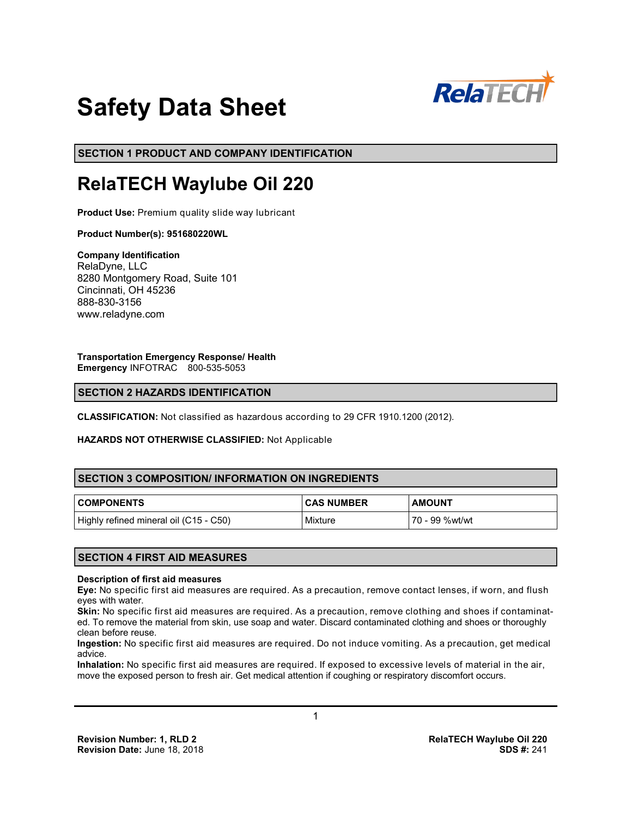

# **Safety Data Sheet**

**SECTION 1 PRODUCT AND COMPANY IDENTIFICATION**

# **RelaTECH Waylube Oil 220**

**Product Use:** Premium quality slide way lubricant

# **Product Number(s): 951680220WL**

**Company Identification** RelaDyne, LLC 8280 Montgomery Road, Suite 101 Cincinnati, OH 45236 888-830-3156 www.reladyne.com

**Transportation Emergency Response/ Health Emergency** INFOTRAC 800-535-5053

# **SECTION 2 HAZARDS IDENTIFICATION**

**CLASSIFICATION:** Not classified as hazardous according to 29 CFR 1910.1200 (2012).

#### **HAZARDS NOT OTHERWISE CLASSIFIED:** Not Applicable

# **SECTION 3 COMPOSITION/ INFORMATION ON INGREDIENTS**

| <b>COMPONENTS</b>                      | <b>CAS NUMBER</b> | <b>AMOUNT</b>  |
|----------------------------------------|-------------------|----------------|
| Highly refined mineral oil (C15 - C50) | Mixture           | 70 - 99 %wt/wt |

# **SECTION 4 FIRST AID MEASURES**

#### **Description of first aid measures**

**Eye:** No specific first aid measures are required. As a precaution, remove contact lenses, if worn, and flush eyes with water.

**Skin:** No specific first aid measures are required. As a precaution, remove clothing and shoes if contaminated. To remove the material from skin, use soap and water. Discard contaminated clothing and shoes or thoroughly clean before reuse.

**Ingestion:** No specific first aid measures are required. Do not induce vomiting. As a precaution, get medical advice.

**Inhalation:** No specific first aid measures are required. If exposed to excessive levels of material in the air, move the exposed person to fresh air. Get medical attention if coughing or respiratory discomfort occurs.

1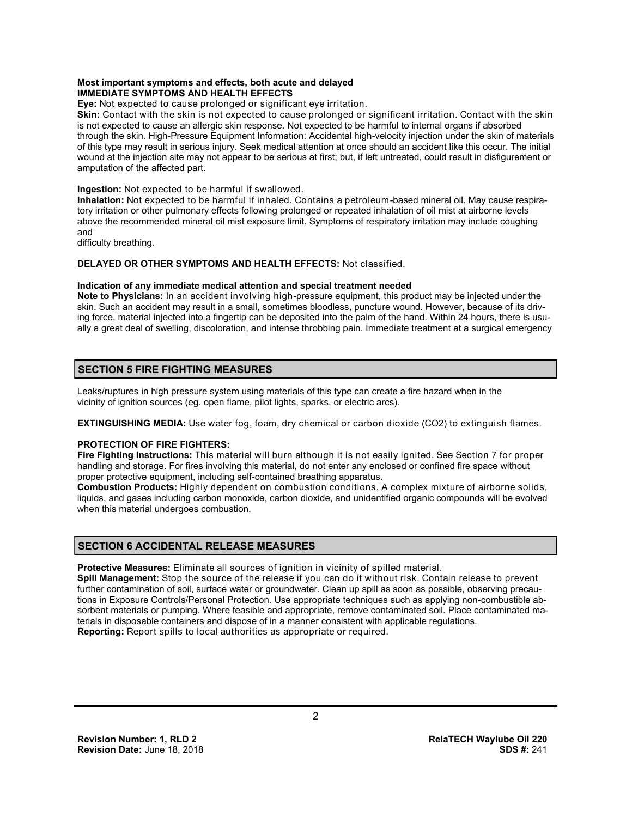#### **Most important symptoms and effects, both acute and delayed IMMEDIATE SYMPTOMS AND HEALTH EFFECTS**

**Eye:** Not expected to cause prolonged or significant eye irritation.

**Skin:** Contact with the skin is not expected to cause prolonged or significant irritation. Contact with the skin is not expected to cause an allergic skin response. Not expected to be harmful to internal organs if absorbed through the skin. High-Pressure Equipment Information: Accidental high-velocity injection under the skin of materials of this type may result in serious injury. Seek medical attention at once should an accident like this occur. The initial wound at the injection site may not appear to be serious at first; but, if left untreated, could result in disfigurement or amputation of the affected part.

#### **Ingestion:** Not expected to be harmful if swallowed.

**Inhalation:** Not expected to be harmful if inhaled. Contains a petroleum-based mineral oil. May cause respiratory irritation or other pulmonary effects following prolonged or repeated inhalation of oil mist at airborne levels above the recommended mineral oil mist exposure limit. Symptoms of respiratory irritation may include coughing and

difficulty breathing.

# **DELAYED OR OTHER SYMPTOMS AND HEALTH EFFECTS:** Not classified.

# **Indication of any immediate medical attention and special treatment needed**

**Note to Physicians:** In an accident involving high-pressure equipment, this product may be injected under the skin. Such an accident may result in a small, sometimes bloodless, puncture wound. However, because of its driving force, material injected into a fingertip can be deposited into the palm of the hand. Within 24 hours, there is usually a great deal of swelling, discoloration, and intense throbbing pain. Immediate treatment at a surgical emergency

# **SECTION 5 FIRE FIGHTING MEASURES**

Leaks/ruptures in high pressure system using materials of this type can create a fire hazard when in the vicinity of ignition sources (eg. open flame, pilot lights, sparks, or electric arcs).

**EXTINGUISHING MEDIA:** Use water fog, foam, dry chemical or carbon dioxide (CO2) to extinguish flames.

# **PROTECTION OF FIRE FIGHTERS:**

**Fire Fighting Instructions:** This material will burn although it is not easily ignited. See Section 7 for proper handling and storage. For fires involving this material, do not enter any enclosed or confined fire space without proper protective equipment, including self-contained breathing apparatus.

**Combustion Products:** Highly dependent on combustion conditions. A complex mixture of airborne solids, liquids, and gases including carbon monoxide, carbon dioxide, and unidentified organic compounds will be evolved when this material undergoes combustion.

# **SECTION 6 ACCIDENTAL RELEASE MEASURES**

**Protective Measures:** Eliminate all sources of ignition in vicinity of spilled material.

**Spill Management:** Stop the source of the release if you can do it without risk. Contain release to prevent further contamination of soil, surface water or groundwater. Clean up spill as soon as possible, observing precautions in Exposure Controls/Personal Protection. Use appropriate techniques such as applying non-combustible absorbent materials or pumping. Where feasible and appropriate, remove contaminated soil. Place contaminated materials in disposable containers and dispose of in a manner consistent with applicable regulations. **Reporting:** Report spills to local authorities as appropriate or required.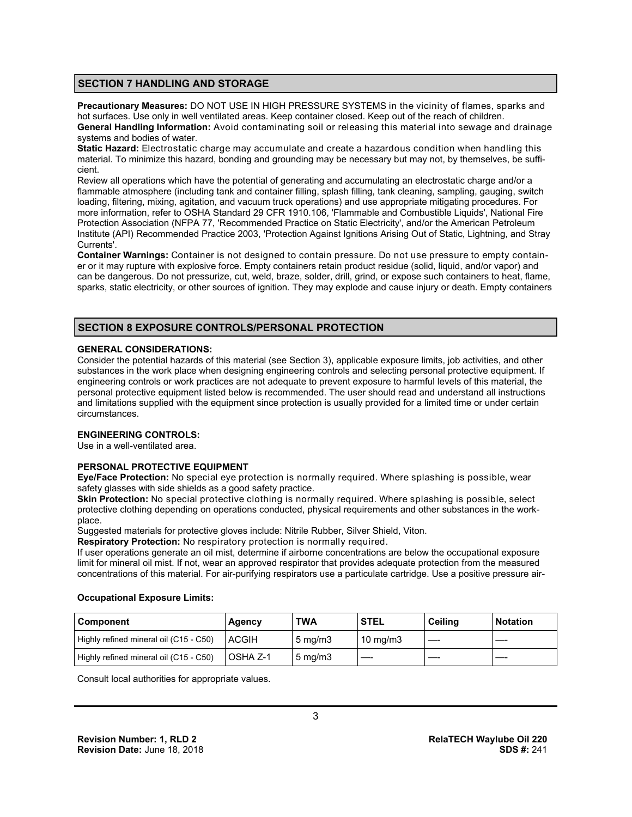# **SECTION 7 HANDLING AND STORAGE**

**Precautionary Measures:** DO NOT USE IN HIGH PRESSURE SYSTEMS in the vicinity of flames, sparks and hot surfaces. Use only in well ventilated areas. Keep container closed. Keep out of the reach of children. **General Handling Information:** Avoid contaminating soil or releasing this material into sewage and drainage systems and bodies of water.

**Static Hazard:** Electrostatic charge may accumulate and create a hazardous condition when handling this material. To minimize this hazard, bonding and grounding may be necessary but may not, by themselves, be sufficient.

Review all operations which have the potential of generating and accumulating an electrostatic charge and/or a flammable atmosphere (including tank and container filling, splash filling, tank cleaning, sampling, gauging, switch loading, filtering, mixing, agitation, and vacuum truck operations) and use appropriate mitigating procedures. For more information, refer to OSHA Standard 29 CFR 1910.106, 'Flammable and Combustible Liquids', National Fire Protection Association (NFPA 77, 'Recommended Practice on Static Electricity', and/or the American Petroleum Institute (API) Recommended Practice 2003, 'Protection Against Ignitions Arising Out of Static, Lightning, and Stray Currents'.

**Container Warnings:** Container is not designed to contain pressure. Do not use pressure to empty container or it may rupture with explosive force. Empty containers retain product residue (solid, liquid, and/or vapor) and can be dangerous. Do not pressurize, cut, weld, braze, solder, drill, grind, or expose such containers to heat, flame, sparks, static electricity, or other sources of ignition. They may explode and cause injury or death. Empty containers

# **SECTION 8 EXPOSURE CONTROLS/PERSONAL PROTECTION**

#### **GENERAL CONSIDERATIONS:**

Consider the potential hazards of this material (see Section 3), applicable exposure limits, job activities, and other substances in the work place when designing engineering controls and selecting personal protective equipment. If engineering controls or work practices are not adequate to prevent exposure to harmful levels of this material, the personal protective equipment listed below is recommended. The user should read and understand all instructions and limitations supplied with the equipment since protection is usually provided for a limited time or under certain circumstances.

# **ENGINEERING CONTROLS:**

Use in a well-ventilated area.

# **PERSONAL PROTECTIVE EQUIPMENT**

**Eye/Face Protection:** No special eye protection is normally required. Where splashing is possible, wear safety glasses with side shields as a good safety practice.

**Skin Protection:** No special protective clothing is normally required. Where splashing is possible, select protective clothing depending on operations conducted, physical requirements and other substances in the workplace.

Suggested materials for protective gloves include: Nitrile Rubber, Silver Shield, Viton.

**Respiratory Protection:** No respiratory protection is normally required.

If user operations generate an oil mist, determine if airborne concentrations are below the occupational exposure limit for mineral oil mist. If not, wear an approved respirator that provides adequate protection from the measured concentrations of this material. For air-purifying respirators use a particulate cartridge. Use a positive pressure air-

#### **Occupational Exposure Limits:**

| l Component                            | Agency           | <b>TWA</b>         | <b>STEL</b>         | Ceiling | <b>Notation</b> |
|----------------------------------------|------------------|--------------------|---------------------|---------|-----------------|
| Highly refined mineral oil (C15 - C50) | <b>LACGIH</b>    | $5 \text{ ma/m}$ 3 | $10 \text{ ma/m}$ 3 |         |                 |
| Highly refined mineral oil (C15 - C50) | <b>LOSHA Z-1</b> | $5 \text{ mg/m}$   |                     |         |                 |

Consult local authorities for appropriate values.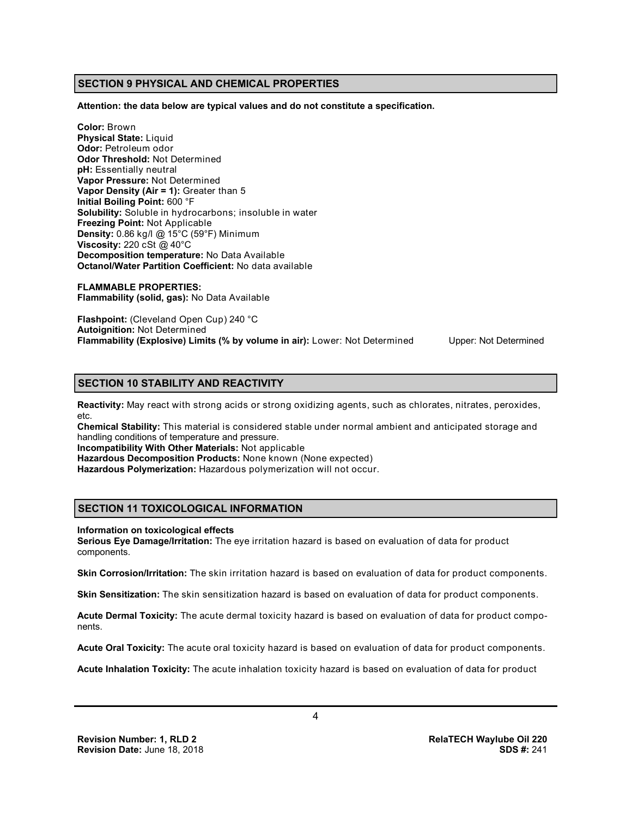# **SECTION 9 PHYSICAL AND CHEMICAL PROPERTIES**

**Attention: the data below are typical values and do not constitute a specification.**

**Color:** Brown **Physical State:** Liquid **Odor:** Petroleum odor **Odor Threshold:** Not Determined **pH:** Essentially neutral **Vapor Pressure:** Not Determined **Vapor Density (Air = 1):** Greater than 5 **Initial Boiling Point:** 600 °F **Solubility:** Soluble in hydrocarbons; insoluble in water **Freezing Point:** Not Applicable **Density:** 0.86 kg/l @ 15°C (59°F) Minimum **Viscosity:** 220 cSt @ 40°C **Decomposition temperature:** No Data Available **Octanol/Water Partition Coefficient:** No data available

**FLAMMABLE PROPERTIES: Flammability (solid, gas):** No Data Available

**Flashpoint:** (Cleveland Open Cup) 240 °C **Autoignition:** Not Determined **Flammability (Explosive) Limits (% by volume in air):** Lower: Not Determined Upper: Not Determined

# **SECTION 10 STABILITY AND REACTIVITY**

**Reactivity:** May react with strong acids or strong oxidizing agents, such as chlorates, nitrates, peroxides, etc.

**Chemical Stability:** This material is considered stable under normal ambient and anticipated storage and handling conditions of temperature and pressure.

**Incompatibility With Other Materials:** Not applicable

**Hazardous Decomposition Products:** None known (None expected)

**Hazardous Polymerization:** Hazardous polymerization will not occur.

# **SECTION 11 TOXICOLOGICAL INFORMATION**

#### **Information on toxicological effects**

**Serious Eye Damage/Irritation:** The eye irritation hazard is based on evaluation of data for product components.

**Skin Corrosion/Irritation:** The skin irritation hazard is based on evaluation of data for product components.

**Skin Sensitization:** The skin sensitization hazard is based on evaluation of data for product components.

**Acute Dermal Toxicity:** The acute dermal toxicity hazard is based on evaluation of data for product components.

**Acute Oral Toxicity:** The acute oral toxicity hazard is based on evaluation of data for product components.

**Acute Inhalation Toxicity:** The acute inhalation toxicity hazard is based on evaluation of data for product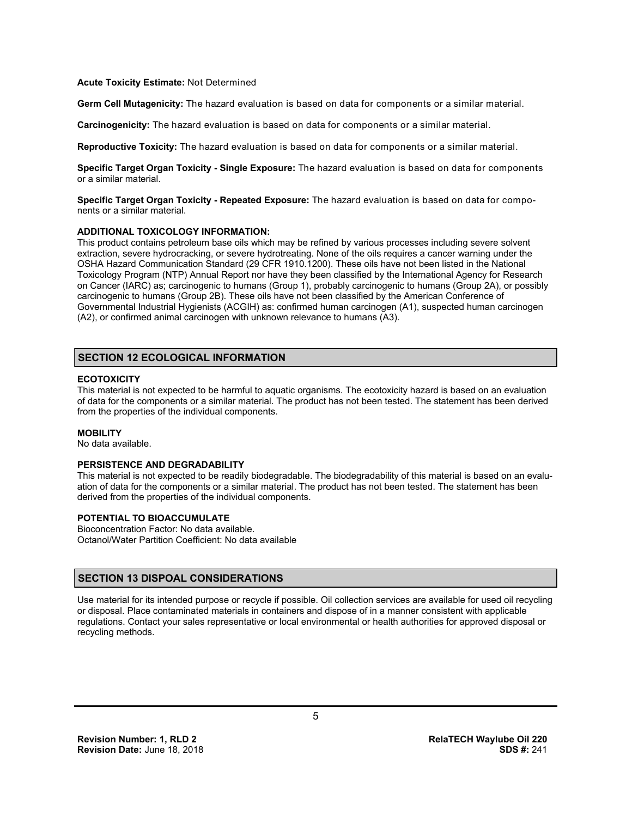#### **Acute Toxicity Estimate:** Not Determined

**Germ Cell Mutagenicity:** The hazard evaluation is based on data for components or a similar material.

**Carcinogenicity:** The hazard evaluation is based on data for components or a similar material.

**Reproductive Toxicity:** The hazard evaluation is based on data for components or a similar material.

**Specific Target Organ Toxicity - Single Exposure:** The hazard evaluation is based on data for components or a similar material.

**Specific Target Organ Toxicity - Repeated Exposure:** The hazard evaluation is based on data for components or a similar material.

#### **ADDITIONAL TOXICOLOGY INFORMATION:**

This product contains petroleum base oils which may be refined by various processes including severe solvent extraction, severe hydrocracking, or severe hydrotreating. None of the oils requires a cancer warning under the OSHA Hazard Communication Standard (29 CFR 1910.1200). These oils have not been listed in the National Toxicology Program (NTP) Annual Report nor have they been classified by the International Agency for Research on Cancer (IARC) as; carcinogenic to humans (Group 1), probably carcinogenic to humans (Group 2A), or possibly carcinogenic to humans (Group 2B). These oils have not been classified by the American Conference of Governmental Industrial Hygienists (ACGIH) as: confirmed human carcinogen (A1), suspected human carcinogen (A2), or confirmed animal carcinogen with unknown relevance to humans (A3).

# **SECTION 12 ECOLOGICAL INFORMATION**

## **ECOTOXICITY**

This material is not expected to be harmful to aquatic organisms. The ecotoxicity hazard is based on an evaluation of data for the components or a similar material. The product has not been tested. The statement has been derived from the properties of the individual components.

#### **MOBILITY**

No data available.

# **PERSISTENCE AND DEGRADABILITY**

This material is not expected to be readily biodegradable. The biodegradability of this material is based on an evaluation of data for the components or a similar material. The product has not been tested. The statement has been derived from the properties of the individual components.

# **POTENTIAL TO BIOACCUMULATE**

Bioconcentration Factor: No data available. Octanol/Water Partition Coefficient: No data available

# **SECTION 13 DISPOAL CONSIDERATIONS**

Use material for its intended purpose or recycle if possible. Oil collection services are available for used oil recycling or disposal. Place contaminated materials in containers and dispose of in a manner consistent with applicable regulations. Contact your sales representative or local environmental or health authorities for approved disposal or recycling methods.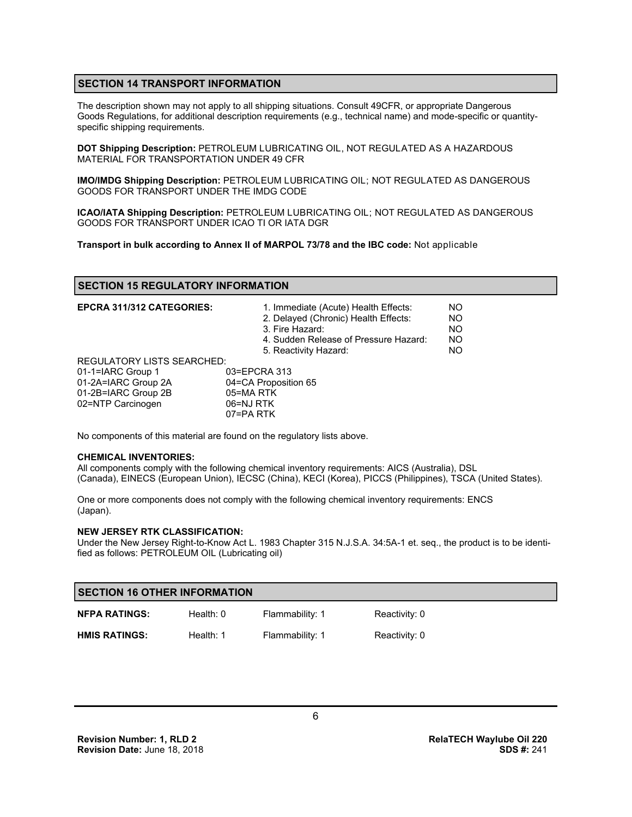# **SECTION 14 TRANSPORT INFORMATION**

The description shown may not apply to all shipping situations. Consult 49CFR, or appropriate Dangerous Goods Regulations, for additional description requirements (e.g., technical name) and mode-specific or quantityspecific shipping requirements.

**DOT Shipping Description:** PETROLEUM LUBRICATING OIL, NOT REGULATED AS A HAZARDOUS MATERIAL FOR TRANSPORTATION UNDER 49 CFR

**IMO/IMDG Shipping Description:** PETROLEUM LUBRICATING OIL; NOT REGULATED AS DANGEROUS GOODS FOR TRANSPORT UNDER THE IMDG CODE

**ICAO/IATA Shipping Description:** PETROLEUM LUBRICATING OIL; NOT REGULATED AS DANGEROUS GOODS FOR TRANSPORT UNDER ICAO TI OR IATA DGR

**Transport in bulk according to Annex II of MARPOL 73/78 and the IBC code:** Not applicable

# **SECTION 15 REGULATORY INFORMATION**

| <b>EPCRA 311/312 CATEGORIES:</b>  | 1. Immediate (Acute) Health Effects:<br>2. Delayed (Chronic) Health Effects:<br>3. Fire Hazard:<br>4. Sudden Release of Pressure Hazard:<br>5. Reactivity Hazard: | NO.<br><b>NO</b><br><b>NO</b><br><b>NO</b><br>NO. |
|-----------------------------------|-------------------------------------------------------------------------------------------------------------------------------------------------------------------|---------------------------------------------------|
| <b>REGULATORY LISTS SEARCHED:</b> |                                                                                                                                                                   |                                                   |
| 01-1=IARC Group 1                 | 03=EPCRA 313                                                                                                                                                      |                                                   |
| 01-2A=IARC Group 2A               | 04=CA Proposition 65                                                                                                                                              |                                                   |
| 01-2B=IARC Group 2B               | 05=MA RTK                                                                                                                                                         |                                                   |
| 02=NTP Carcinogen                 | 06=NJ RTK                                                                                                                                                         |                                                   |
|                                   | 07=PA RTK                                                                                                                                                         |                                                   |

No components of this material are found on the regulatory lists above.

#### **CHEMICAL INVENTORIES:**

All components comply with the following chemical inventory requirements: AICS (Australia), DSL (Canada), EINECS (European Union), IECSC (China), KECI (Korea), PICCS (Philippines), TSCA (United States).

One or more components does not comply with the following chemical inventory requirements: ENCS (Japan).

#### **NEW JERSEY RTK CLASSIFICATION:**

Under the New Jersey Right-to-Know Act L. 1983 Chapter 315 N.J.S.A. 34:5A-1 et. seq., the product is to be identified as follows: PETROLEUM OIL (Lubricating oil)

| <b>SECTION 16 OTHER INFORMATION</b> |             |                 |               |  |
|-------------------------------------|-------------|-----------------|---------------|--|
| <b>NFPA RATINGS:</b>                | Health: $0$ | Flammability: 1 | Reactivity: 0 |  |
| <b>HMIS RATINGS:</b>                | Health: 1   | Flammability: 1 | Reactivity: 0 |  |